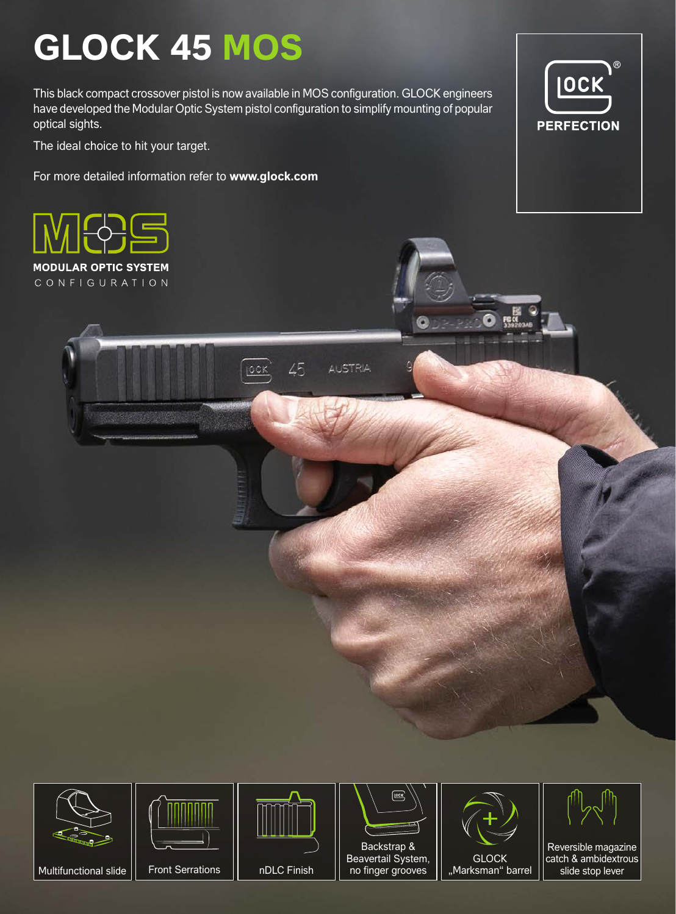## **GLOCK 45 MOS**

This black compact crossover pistol is now available in MOS configuration. GLOCK engineers have developed the Modular Optic System pistol configuration to simplify mounting of popular optical sights.

The ideal choice to hit your target.

For more detailed information refer to **www.glock.com**









Front Serrations | nDLC Finish



Multifunctional slide | | Front Serrations | | nDLC Finish | | no finger grooves | | "Marksman" barrel no finger grooves



Reversible magazine catch & ambidextrous slide stop lever